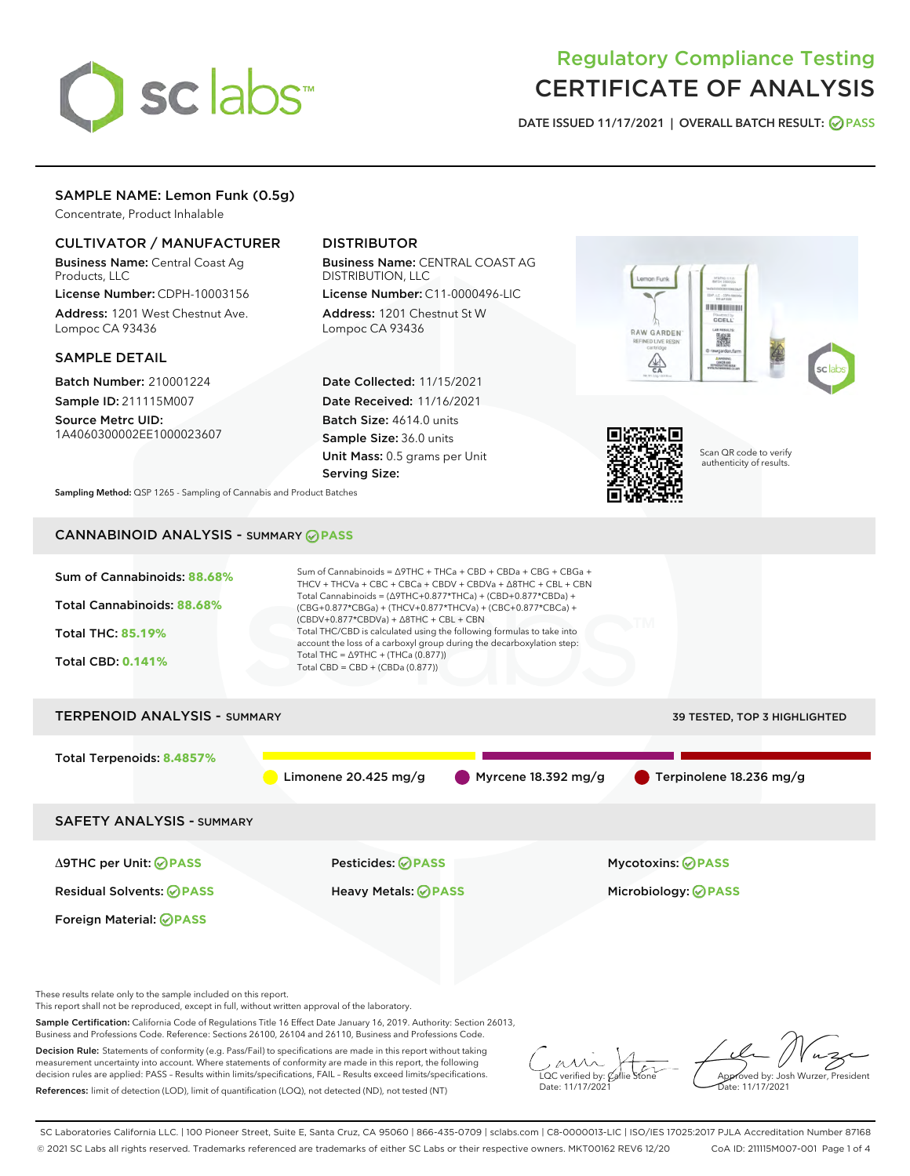

# Regulatory Compliance Testing CERTIFICATE OF ANALYSIS

DATE ISSUED 11/17/2021 | OVERALL BATCH RESULT: @ PASS

## SAMPLE NAME: Lemon Funk (0.5g)

Concentrate, Product Inhalable

### CULTIVATOR / MANUFACTURER

Business Name: Central Coast Ag Products, LLC

License Number: CDPH-10003156 Address: 1201 West Chestnut Ave. Lompoc CA 93436

### SAMPLE DETAIL

Batch Number: 210001224 Sample ID: 211115M007

Source Metrc UID: 1A4060300002EE1000023607

# DISTRIBUTOR

Business Name: CENTRAL COAST AG DISTRIBUTION, LLC

License Number: C11-0000496-LIC Address: 1201 Chestnut St W Lompoc CA 93436

Date Collected: 11/15/2021 Date Received: 11/16/2021 Batch Size: 4614.0 units Sample Size: 36.0 units Unit Mass: 0.5 grams per Unit Serving Size:





Scan QR code to verify authenticity of results.

Sampling Method: QSP 1265 - Sampling of Cannabis and Product Batches

# CANNABINOID ANALYSIS - SUMMARY **PASS**



Sample Certification: California Code of Regulations Title 16 Effect Date January 16, 2019. Authority: Section 26013, Business and Professions Code. Reference: Sections 26100, 26104 and 26110, Business and Professions Code.

Decision Rule: Statements of conformity (e.g. Pass/Fail) to specifications are made in this report without taking measurement uncertainty into account. Where statements of conformity are made in this report, the following decision rules are applied: PASS – Results within limits/specifications, FAIL – Results exceed limits/specifications. References: limit of detection (LOD), limit of quantification (LOQ), not detected (ND), not tested (NT)

 $\overline{\text{LOC}}$  verified by:  $\mathcal{C}_i$ Date: 11/17/202<sup>1</sup>

Approved by: Josh Wurzer, President ..<br>te: 11/17/2021

SC Laboratories California LLC. | 100 Pioneer Street, Suite E, Santa Cruz, CA 95060 | 866-435-0709 | sclabs.com | C8-0000013-LIC | ISO/IES 17025:2017 PJLA Accreditation Number 87168 © 2021 SC Labs all rights reserved. Trademarks referenced are trademarks of either SC Labs or their respective owners. MKT00162 REV6 12/20 CoA ID: 211115M007-001 Page 1 of 4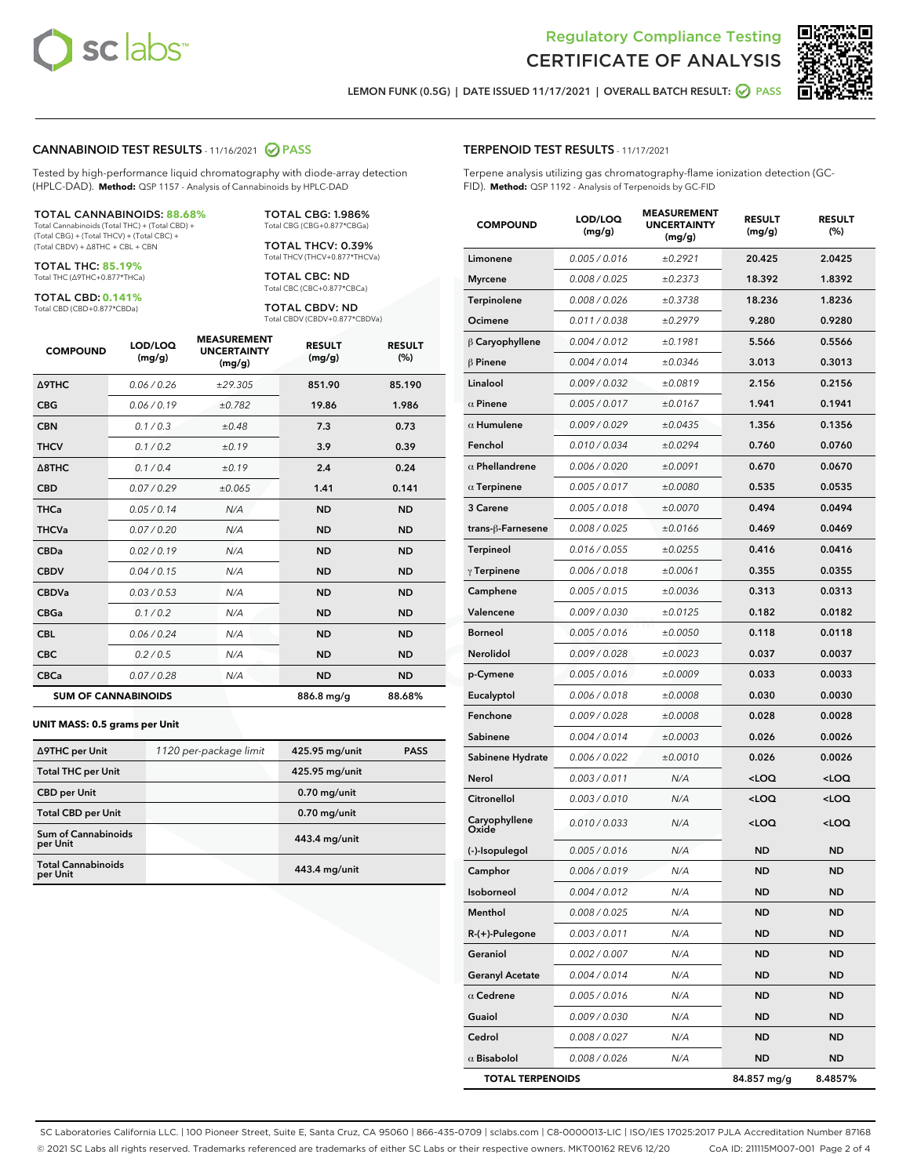



LEMON FUNK (0.5G) | DATE ISSUED 11/17/2021 | OVERALL BATCH RESULT: @ PASS

### CANNABINOID TEST RESULTS - 11/16/2021 2 PASS

Tested by high-performance liquid chromatography with diode-array detection (HPLC-DAD). **Method:** QSP 1157 - Analysis of Cannabinoids by HPLC-DAD

#### TOTAL CANNABINOIDS: **88.68%**

Total Cannabinoids (Total THC) + (Total CBD) + (Total CBG) + (Total THCV) + (Total CBC) + (Total CBDV) + ∆8THC + CBL + CBN

TOTAL THC: **85.19%** Total THC (∆9THC+0.877\*THCa)

TOTAL CBD: **0.141%**

Total CBD (CBD+0.877\*CBDa)

TOTAL CBG: 1.986% Total CBG (CBG+0.877\*CBGa)

TOTAL THCV: 0.39% Total THCV (THCV+0.877\*THCVa)

TOTAL CBC: ND Total CBC (CBC+0.877\*CBCa)

TOTAL CBDV: ND Total CBDV (CBDV+0.877\*CBDVa)

| <b>COMPOUND</b>            | LOD/LOQ<br>(mg/g) | <b>MEASUREMENT</b><br><b>UNCERTAINTY</b><br>(mg/g) | <b>RESULT</b><br>(mg/g) | <b>RESULT</b><br>(%) |
|----------------------------|-------------------|----------------------------------------------------|-------------------------|----------------------|
| Δ9THC                      | 0.06 / 0.26       | ±29.305                                            | 851.90                  | 85.190               |
| <b>CBG</b>                 | 0.06/0.19         | ±0.782                                             | 19.86                   | 1.986                |
| <b>CBN</b>                 | 0.1/0.3           | ±0.48                                              | 7.3                     | 0.73                 |
| <b>THCV</b>                | 0.1/0.2           | ±0.19                                              | 3.9                     | 0.39                 |
| $\triangle$ 8THC           | 0.1 / 0.4         | ±0.19                                              | 2.4                     | 0.24                 |
| <b>CBD</b>                 | 0.07/0.29         | ±0.065                                             | 1.41                    | 0.141                |
| <b>THCa</b>                | 0.05/0.14         | N/A                                                | <b>ND</b>               | <b>ND</b>            |
| <b>THCVa</b>               | 0.07/0.20         | N/A                                                | <b>ND</b>               | <b>ND</b>            |
| <b>CBDa</b>                | 0.02/0.19         | N/A                                                | <b>ND</b>               | <b>ND</b>            |
| <b>CBDV</b>                | 0.04 / 0.15       | N/A                                                | <b>ND</b>               | <b>ND</b>            |
| <b>CBDVa</b>               | 0.03/0.53         | N/A                                                | <b>ND</b>               | <b>ND</b>            |
| <b>CBGa</b>                | 0.1 / 0.2         | N/A                                                | <b>ND</b>               | <b>ND</b>            |
| <b>CBL</b>                 | 0.06 / 0.24       | N/A                                                | <b>ND</b>               | <b>ND</b>            |
| <b>CBC</b>                 | 0.2 / 0.5         | N/A                                                | <b>ND</b>               | <b>ND</b>            |
| <b>CBCa</b>                | 0.07/0.28         | N/A                                                | <b>ND</b>               | <b>ND</b>            |
| <b>SUM OF CANNABINOIDS</b> |                   |                                                    | 886.8 mg/g              | 88.68%               |

#### **UNIT MASS: 0.5 grams per Unit**

| ∆9THC per Unit                         | 1120 per-package limit | 425.95 mg/unit | <b>PASS</b> |
|----------------------------------------|------------------------|----------------|-------------|
| <b>Total THC per Unit</b>              |                        | 425.95 mg/unit |             |
| <b>CBD</b> per Unit                    |                        | $0.70$ mg/unit |             |
| <b>Total CBD per Unit</b>              |                        | $0.70$ mg/unit |             |
| <b>Sum of Cannabinoids</b><br>per Unit |                        | 443.4 mg/unit  |             |
| <b>Total Cannabinoids</b><br>per Unit  |                        | 443.4 mg/unit  |             |

| <b>COMPOUND</b>         | LOD/LOQ<br>(mg/g)    | <b>MEASUREMENT</b><br><b>UNCERTAINTY</b><br>(mg/g) | <b>RESULT</b><br>(mg/g)                         | <b>RESULT</b><br>(%) |
|-------------------------|----------------------|----------------------------------------------------|-------------------------------------------------|----------------------|
| Limonene                | 0.005 / 0.016        | ±0.2921                                            | 20.425                                          | 2.0425               |
| <b>Myrcene</b>          | 0.008 / 0.025        | ±0.2373                                            | 18.392                                          | 1.8392               |
| Terpinolene             | 0.008 / 0.026        | ±0.3738                                            | 18.236                                          | 1.8236               |
| Ocimene                 | 0.011 / 0.038        | ±0.2979                                            | 9.280                                           | 0.9280               |
| $\beta$ Caryophyllene   | 0.004 / 0.012        | ±0.1981                                            | 5.566                                           | 0.5566               |
| $\beta$ Pinene          | 0.004 / 0.014        | ±0.0346                                            | 3.013                                           | 0.3013               |
| Linalool                | 0.009 / 0.032        | ±0.0819                                            | 2.156                                           | 0.2156               |
| $\alpha$ Pinene         | 0.005 / 0.017        | ±0.0167                                            | 1.941                                           | 0.1941               |
| $\alpha$ Humulene       | 0.009 / 0.029        | ±0.0435                                            | 1.356                                           | 0.1356               |
| Fenchol                 | 0.010 / 0.034        | ±0.0294                                            | 0.760                                           | 0.0760               |
| $\alpha$ Phellandrene   | 0.006 / 0.020        | ±0.0091                                            | 0.670                                           | 0.0670               |
| $\alpha$ Terpinene      | 0.005 / 0.017        | ±0.0080                                            | 0.535                                           | 0.0535               |
| 3 Carene                | 0.005 / 0.018        | ±0.0070                                            | 0.494                                           | 0.0494               |
| trans-ß-Farnesene       | 0.008 / 0.025        | ±0.0166                                            | 0.469                                           | 0.0469               |
| Terpineol               | 0.016 / 0.055        | ±0.0255                                            | 0.416                                           | 0.0416               |
| $\gamma$ Terpinene      | 0.006 / 0.018        | ±0.0061                                            | 0.355                                           | 0.0355               |
| Camphene                | 0.005 / 0.015        | ±0.0036                                            | 0.313                                           | 0.0313               |
| Valencene               | <i>0.009 / 0.030</i> | ±0.0125                                            | 0.182                                           | 0.0182               |
| <b>Borneol</b>          | 0.005 / 0.016        | ±0.0050                                            | 0.118                                           | 0.0118               |
| Nerolidol               | 0.009 / 0.028        | ±0.0023                                            | 0.037                                           | 0.0037               |
| p-Cymene                | 0.005 / 0.016        | ±0.0009                                            | 0.033                                           | 0.0033               |
| Eucalyptol              | 0.006 / 0.018        | ±0.0008                                            | 0.030                                           | 0.0030               |
| Fenchone                | 0.009 / 0.028        | ±0.0008                                            | 0.028                                           | 0.0028               |
| Sabinene                | 0.004 / 0.014        | ±0.0003                                            | 0.026                                           | 0.0026               |
| Sabinene Hydrate        | 0.006 / 0.022        | ±0.0010                                            | 0.026                                           | 0.0026               |
| Nerol                   | 0.003 / 0.011        | N/A                                                | <loq< th=""><th>100</th></loq<>                 | 100                  |
| Citronellol             | 0.003 / 0.010        | N/A                                                | <loq< th=""><th><loq< th=""></loq<></th></loq<> | <loq< th=""></loq<>  |
| Caryophyllene<br>Oxide  | 0.010 / 0.033        | N/A                                                | <loq< th=""><th><loq< th=""></loq<></th></loq<> | <loq< th=""></loq<>  |
| (-)-Isopulegol          | 0.005 / 0.016        | N/A                                                | <b>ND</b>                                       | <b>ND</b>            |
| Camphor                 | 0.006 / 0.019        | N/A                                                | <b>ND</b>                                       | <b>ND</b>            |
| Isoborneol              | 0.004 / 0.012        | N/A                                                | ND                                              | ND                   |
| Menthol                 | 0.008 / 0.025        | N/A                                                | ND                                              | ND                   |
| $R-(+)$ -Pulegone       | 0.003 / 0.011        | N/A                                                | ND                                              | ND                   |
| Geraniol                | 0.002 / 0.007        | N/A                                                | ND                                              | ND                   |
| <b>Geranyl Acetate</b>  | 0.004 / 0.014        | N/A                                                | ND                                              | ND                   |
| $\alpha$ Cedrene        | 0.005 / 0.016        | N/A                                                | ND                                              | ND                   |
| Guaiol                  | 0.009 / 0.030        | N/A                                                | ND                                              | ND                   |
| Cedrol                  | 0.008 / 0.027        | N/A                                                | ND                                              | ND                   |
| $\alpha$ Bisabolol      | 0.008 / 0.026        | N/A                                                | ND                                              | ND                   |
| <b>TOTAL TERPENOIDS</b> |                      |                                                    | 84.857 mg/g                                     | 8.4857%              |

SC Laboratories California LLC. | 100 Pioneer Street, Suite E, Santa Cruz, CA 95060 | 866-435-0709 | sclabs.com | C8-0000013-LIC | ISO/IES 17025:2017 PJLA Accreditation Number 87168 © 2021 SC Labs all rights reserved. Trademarks referenced are trademarks of either SC Labs or their respective owners. MKT00162 REV6 12/20 CoA ID: 211115M007-001 Page 2 of 4

# TERPENOID TEST RESULTS - 11/17/2021

Terpene analysis utilizing gas chromatography-flame ionization detection (GC-FID). **Method:** QSP 1192 - Analysis of Terpenoids by GC-FID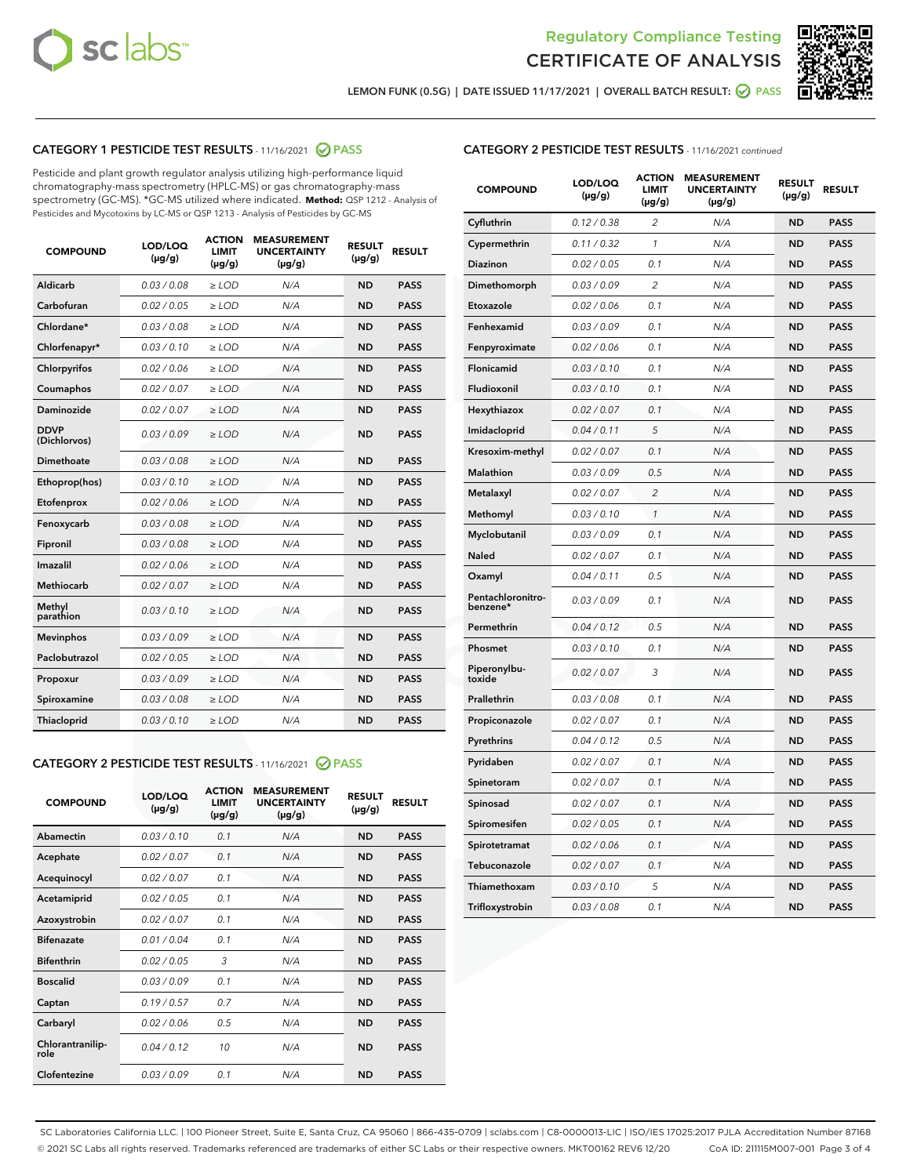



LEMON FUNK (0.5G) | DATE ISSUED 11/17/2021 | OVERALL BATCH RESULT: 2 PASS

# CATEGORY 1 PESTICIDE TEST RESULTS - 11/16/2021 2 PASS

Pesticide and plant growth regulator analysis utilizing high-performance liquid chromatography-mass spectrometry (HPLC-MS) or gas chromatography-mass spectrometry (GC-MS). \*GC-MS utilized where indicated. **Method:** QSP 1212 - Analysis of Pesticides and Mycotoxins by LC-MS or QSP 1213 - Analysis of Pesticides by GC-MS

| Aldicarb<br>0.03 / 0.08<br>$\ge$ LOD<br>N/A<br><b>ND</b><br><b>PASS</b><br>Carbofuran<br>0.02 / 0.05<br><b>ND</b><br><b>PASS</b><br>$\ge$ LOD<br>N/A<br>Chlordane*<br>0.03 / 0.08<br>$\ge$ LOD<br>N/A<br><b>ND</b><br><b>PASS</b><br>Chlorfenapyr*<br>0.03/0.10<br>N/A<br><b>ND</b><br><b>PASS</b><br>$\ge$ LOD<br>N/A<br><b>ND</b><br><b>PASS</b><br>Chlorpyrifos<br>0.02 / 0.06<br>$\ge$ LOD<br>0.02 / 0.07<br>Coumaphos<br>$>$ LOD<br>N/A<br><b>ND</b><br><b>PASS</b><br>Daminozide<br>0.02/0.07<br>N/A<br><b>ND</b><br>$>$ LOD<br><b>PASS</b><br><b>DDVP</b><br>0.03/0.09<br>$\ge$ LOD<br>N/A<br><b>ND</b><br><b>PASS</b><br>(Dichlorvos)<br>Dimethoate<br>0.03 / 0.08<br>$\ge$ LOD<br>N/A<br><b>ND</b><br><b>PASS</b><br>0.03/0.10<br><b>ND</b><br><b>PASS</b><br>$\ge$ LOD<br>N/A<br>Ethoprop(hos)<br>0.02 / 0.06<br>$\ge$ LOD<br>N/A<br><b>ND</b><br><b>PASS</b><br>Etofenprox<br>0.03 / 0.08<br>$\ge$ LOD<br>N/A<br><b>ND</b><br><b>PASS</b><br>Fenoxycarb<br>0.03 / 0.08<br>Fipronil<br>$\ge$ LOD<br>N/A<br><b>ND</b><br><b>PASS</b><br>Imazalil<br>0.02 / 0.06<br>$\ge$ LOD<br>N/A<br><b>ND</b><br><b>PASS</b><br>Methiocarb<br>0.02 / 0.07<br>N/A<br><b>ND</b><br>$>$ LOD<br><b>PASS</b><br>Methyl<br>N/A<br><b>ND</b><br>0.03/0.10<br>$\ge$ LOD<br><b>PASS</b><br>parathion<br>0.03/0.09<br>N/A<br><b>ND</b><br><b>PASS</b><br><b>Mevinphos</b><br>$\ge$ LOD<br>Paclobutrazol<br>0.02 / 0.05<br><b>ND</b><br><b>PASS</b><br>$\ge$ LOD<br>N/A<br>0.03/0.09<br>$\ge$ LOD<br>N/A<br><b>ND</b><br><b>PASS</b><br>Propoxur<br>0.03 / 0.08<br>$\ge$ LOD<br>N/A<br><b>ND</b><br><b>PASS</b><br>Spiroxamine<br>0.03/0.10<br>Thiacloprid<br>$\ge$ LOD<br>N/A<br><b>ND</b><br><b>PASS</b> | <b>COMPOUND</b> | LOD/LOQ<br>$(\mu g/g)$ | <b>ACTION</b><br><b>LIMIT</b><br>$(\mu g/g)$ | <b>MEASUREMENT</b><br><b>UNCERTAINTY</b><br>$(\mu g/g)$ | <b>RESULT</b><br>$(\mu g/g)$ | <b>RESULT</b> |
|---------------------------------------------------------------------------------------------------------------------------------------------------------------------------------------------------------------------------------------------------------------------------------------------------------------------------------------------------------------------------------------------------------------------------------------------------------------------------------------------------------------------------------------------------------------------------------------------------------------------------------------------------------------------------------------------------------------------------------------------------------------------------------------------------------------------------------------------------------------------------------------------------------------------------------------------------------------------------------------------------------------------------------------------------------------------------------------------------------------------------------------------------------------------------------------------------------------------------------------------------------------------------------------------------------------------------------------------------------------------------------------------------------------------------------------------------------------------------------------------------------------------------------------------------------------------------------------------------------------------------------------------------------------------------------------------|-----------------|------------------------|----------------------------------------------|---------------------------------------------------------|------------------------------|---------------|
|                                                                                                                                                                                                                                                                                                                                                                                                                                                                                                                                                                                                                                                                                                                                                                                                                                                                                                                                                                                                                                                                                                                                                                                                                                                                                                                                                                                                                                                                                                                                                                                                                                                                                             |                 |                        |                                              |                                                         |                              |               |
|                                                                                                                                                                                                                                                                                                                                                                                                                                                                                                                                                                                                                                                                                                                                                                                                                                                                                                                                                                                                                                                                                                                                                                                                                                                                                                                                                                                                                                                                                                                                                                                                                                                                                             |                 |                        |                                              |                                                         |                              |               |
|                                                                                                                                                                                                                                                                                                                                                                                                                                                                                                                                                                                                                                                                                                                                                                                                                                                                                                                                                                                                                                                                                                                                                                                                                                                                                                                                                                                                                                                                                                                                                                                                                                                                                             |                 |                        |                                              |                                                         |                              |               |
|                                                                                                                                                                                                                                                                                                                                                                                                                                                                                                                                                                                                                                                                                                                                                                                                                                                                                                                                                                                                                                                                                                                                                                                                                                                                                                                                                                                                                                                                                                                                                                                                                                                                                             |                 |                        |                                              |                                                         |                              |               |
|                                                                                                                                                                                                                                                                                                                                                                                                                                                                                                                                                                                                                                                                                                                                                                                                                                                                                                                                                                                                                                                                                                                                                                                                                                                                                                                                                                                                                                                                                                                                                                                                                                                                                             |                 |                        |                                              |                                                         |                              |               |
|                                                                                                                                                                                                                                                                                                                                                                                                                                                                                                                                                                                                                                                                                                                                                                                                                                                                                                                                                                                                                                                                                                                                                                                                                                                                                                                                                                                                                                                                                                                                                                                                                                                                                             |                 |                        |                                              |                                                         |                              |               |
|                                                                                                                                                                                                                                                                                                                                                                                                                                                                                                                                                                                                                                                                                                                                                                                                                                                                                                                                                                                                                                                                                                                                                                                                                                                                                                                                                                                                                                                                                                                                                                                                                                                                                             |                 |                        |                                              |                                                         |                              |               |
|                                                                                                                                                                                                                                                                                                                                                                                                                                                                                                                                                                                                                                                                                                                                                                                                                                                                                                                                                                                                                                                                                                                                                                                                                                                                                                                                                                                                                                                                                                                                                                                                                                                                                             |                 |                        |                                              |                                                         |                              |               |
|                                                                                                                                                                                                                                                                                                                                                                                                                                                                                                                                                                                                                                                                                                                                                                                                                                                                                                                                                                                                                                                                                                                                                                                                                                                                                                                                                                                                                                                                                                                                                                                                                                                                                             |                 |                        |                                              |                                                         |                              |               |
|                                                                                                                                                                                                                                                                                                                                                                                                                                                                                                                                                                                                                                                                                                                                                                                                                                                                                                                                                                                                                                                                                                                                                                                                                                                                                                                                                                                                                                                                                                                                                                                                                                                                                             |                 |                        |                                              |                                                         |                              |               |
|                                                                                                                                                                                                                                                                                                                                                                                                                                                                                                                                                                                                                                                                                                                                                                                                                                                                                                                                                                                                                                                                                                                                                                                                                                                                                                                                                                                                                                                                                                                                                                                                                                                                                             |                 |                        |                                              |                                                         |                              |               |
|                                                                                                                                                                                                                                                                                                                                                                                                                                                                                                                                                                                                                                                                                                                                                                                                                                                                                                                                                                                                                                                                                                                                                                                                                                                                                                                                                                                                                                                                                                                                                                                                                                                                                             |                 |                        |                                              |                                                         |                              |               |
|                                                                                                                                                                                                                                                                                                                                                                                                                                                                                                                                                                                                                                                                                                                                                                                                                                                                                                                                                                                                                                                                                                                                                                                                                                                                                                                                                                                                                                                                                                                                                                                                                                                                                             |                 |                        |                                              |                                                         |                              |               |
|                                                                                                                                                                                                                                                                                                                                                                                                                                                                                                                                                                                                                                                                                                                                                                                                                                                                                                                                                                                                                                                                                                                                                                                                                                                                                                                                                                                                                                                                                                                                                                                                                                                                                             |                 |                        |                                              |                                                         |                              |               |
|                                                                                                                                                                                                                                                                                                                                                                                                                                                                                                                                                                                                                                                                                                                                                                                                                                                                                                                                                                                                                                                                                                                                                                                                                                                                                                                                                                                                                                                                                                                                                                                                                                                                                             |                 |                        |                                              |                                                         |                              |               |
|                                                                                                                                                                                                                                                                                                                                                                                                                                                                                                                                                                                                                                                                                                                                                                                                                                                                                                                                                                                                                                                                                                                                                                                                                                                                                                                                                                                                                                                                                                                                                                                                                                                                                             |                 |                        |                                              |                                                         |                              |               |
|                                                                                                                                                                                                                                                                                                                                                                                                                                                                                                                                                                                                                                                                                                                                                                                                                                                                                                                                                                                                                                                                                                                                                                                                                                                                                                                                                                                                                                                                                                                                                                                                                                                                                             |                 |                        |                                              |                                                         |                              |               |
|                                                                                                                                                                                                                                                                                                                                                                                                                                                                                                                                                                                                                                                                                                                                                                                                                                                                                                                                                                                                                                                                                                                                                                                                                                                                                                                                                                                                                                                                                                                                                                                                                                                                                             |                 |                        |                                              |                                                         |                              |               |
|                                                                                                                                                                                                                                                                                                                                                                                                                                                                                                                                                                                                                                                                                                                                                                                                                                                                                                                                                                                                                                                                                                                                                                                                                                                                                                                                                                                                                                                                                                                                                                                                                                                                                             |                 |                        |                                              |                                                         |                              |               |
|                                                                                                                                                                                                                                                                                                                                                                                                                                                                                                                                                                                                                                                                                                                                                                                                                                                                                                                                                                                                                                                                                                                                                                                                                                                                                                                                                                                                                                                                                                                                                                                                                                                                                             |                 |                        |                                              |                                                         |                              |               |
|                                                                                                                                                                                                                                                                                                                                                                                                                                                                                                                                                                                                                                                                                                                                                                                                                                                                                                                                                                                                                                                                                                                                                                                                                                                                                                                                                                                                                                                                                                                                                                                                                                                                                             |                 |                        |                                              |                                                         |                              |               |

# CATEGORY 2 PESTICIDE TEST RESULTS - 11/16/2021 @ PASS

| <b>COMPOUND</b>          | LOD/LOO<br>$(\mu g/g)$ | <b>ACTION</b><br>LIMIT<br>$(\mu g/g)$ | <b>MEASUREMENT</b><br><b>UNCERTAINTY</b><br>$(\mu g/g)$ | <b>RESULT</b><br>$(\mu g/g)$ | <b>RESULT</b> |  |
|--------------------------|------------------------|---------------------------------------|---------------------------------------------------------|------------------------------|---------------|--|
| Abamectin                | 0.03/0.10              | 0.1                                   | N/A                                                     | <b>ND</b>                    | <b>PASS</b>   |  |
| Acephate                 | 0.02/0.07              | 0.1                                   | N/A                                                     | <b>ND</b>                    | <b>PASS</b>   |  |
| Acequinocyl              | 0.02/0.07              | 0.1                                   | N/A                                                     | <b>ND</b>                    | <b>PASS</b>   |  |
| Acetamiprid              | 0.02/0.05              | 0.1                                   | N/A                                                     | <b>ND</b>                    | <b>PASS</b>   |  |
| Azoxystrobin             | 0.02/0.07              | 0.1                                   | N/A                                                     | <b>ND</b>                    | <b>PASS</b>   |  |
| <b>Bifenazate</b>        | 0.01/0.04              | 0.1                                   | N/A                                                     | <b>ND</b>                    | <b>PASS</b>   |  |
| <b>Bifenthrin</b>        | 0.02/0.05              | 3                                     | N/A                                                     | <b>ND</b>                    | <b>PASS</b>   |  |
| <b>Boscalid</b>          | 0.03/0.09              | 0.1                                   | N/A                                                     | <b>ND</b>                    | <b>PASS</b>   |  |
| Captan                   | 0.19/0.57              | 0.7                                   | N/A                                                     | <b>ND</b>                    | <b>PASS</b>   |  |
| Carbaryl                 | 0.02/0.06              | 0.5                                   | N/A                                                     | <b>ND</b>                    | <b>PASS</b>   |  |
| Chlorantranilip-<br>role | 0.04/0.12              | 10                                    | N/A                                                     | <b>ND</b>                    | <b>PASS</b>   |  |
| Clofentezine             | 0.03/0.09              | 0.1                                   | N/A                                                     | <b>ND</b>                    | <b>PASS</b>   |  |

### CATEGORY 2 PESTICIDE TEST RESULTS - 11/16/2021 continued

| <b>COMPOUND</b>               | LOD/LOQ<br>(µg/g) | <b>ACTION</b><br><b>LIMIT</b><br>(µg/g) | <b>MEASUREMENT</b><br><b>UNCERTAINTY</b><br>$(\mu g/g)$ | <b>RESULT</b><br>(µg/g) | <b>RESULT</b> |
|-------------------------------|-------------------|-----------------------------------------|---------------------------------------------------------|-------------------------|---------------|
| Cyfluthrin                    | 0.12 / 0.38       | $\overline{c}$                          | N/A                                                     | <b>ND</b>               | <b>PASS</b>   |
| Cypermethrin                  | 0.11 / 0.32       | $\mathcal{I}$                           | N/A                                                     | <b>ND</b>               | <b>PASS</b>   |
| <b>Diazinon</b>               | 0.02 / 0.05       | 0.1                                     | N/A                                                     | <b>ND</b>               | <b>PASS</b>   |
| Dimethomorph                  | 0.03 / 0.09       | 2                                       | N/A                                                     | <b>ND</b>               | <b>PASS</b>   |
| Etoxazole                     | 0.02 / 0.06       | 0.1                                     | N/A                                                     | <b>ND</b>               | <b>PASS</b>   |
| Fenhexamid                    | 0.03 / 0.09       | 0.1                                     | N/A                                                     | <b>ND</b>               | <b>PASS</b>   |
| Fenpyroximate                 | 0.02 / 0.06       | 0.1                                     | N/A                                                     | <b>ND</b>               | <b>PASS</b>   |
| Flonicamid                    | 0.03/0.10         | 0.1                                     | N/A                                                     | <b>ND</b>               | <b>PASS</b>   |
| Fludioxonil                   | 0.03/0.10         | 0.1                                     | N/A                                                     | <b>ND</b>               | <b>PASS</b>   |
| Hexythiazox                   | 0.02 / 0.07       | 0.1                                     | N/A                                                     | <b>ND</b>               | <b>PASS</b>   |
| Imidacloprid                  | 0.04 / 0.11       | 5                                       | N/A                                                     | <b>ND</b>               | <b>PASS</b>   |
| Kresoxim-methyl               | 0.02 / 0.07       | 0.1                                     | N/A                                                     | <b>ND</b>               | <b>PASS</b>   |
| Malathion                     | 0.03 / 0.09       | 0.5                                     | N/A                                                     | <b>ND</b>               | <b>PASS</b>   |
| Metalaxyl                     | 0.02 / 0.07       | $\overline{c}$                          | N/A                                                     | <b>ND</b>               | <b>PASS</b>   |
| Methomyl                      | 0.03/0.10         | 1                                       | N/A                                                     | <b>ND</b>               | <b>PASS</b>   |
| Myclobutanil                  | 0.03 / 0.09       | 0.1                                     | N/A                                                     | <b>ND</b>               | <b>PASS</b>   |
| Naled                         | 0.02 / 0.07       | 0.1                                     | N/A                                                     | <b>ND</b>               | <b>PASS</b>   |
| Oxamyl                        | 0.04 / 0.11       | 0.5                                     | N/A                                                     | ND                      | <b>PASS</b>   |
| Pentachloronitro-<br>benzene* | 0.03 / 0.09       | 0.1                                     | N/A                                                     | <b>ND</b>               | <b>PASS</b>   |
| Permethrin                    | 0.04 / 0.12       | 0.5                                     | N/A                                                     | <b>ND</b>               | <b>PASS</b>   |
| Phosmet                       | 0.03 / 0.10       | 0.1                                     | N/A                                                     | <b>ND</b>               | <b>PASS</b>   |
| Piperonylbu-<br>toxide        | 0.02 / 0.07       | 3                                       | N/A                                                     | <b>ND</b>               | <b>PASS</b>   |
| Prallethrin                   | 0.03 / 0.08       | 0.1                                     | N/A                                                     | <b>ND</b>               | <b>PASS</b>   |
| Propiconazole                 | 0.02 / 0.07       | 0.1                                     | N/A                                                     | <b>ND</b>               | <b>PASS</b>   |
| Pyrethrins                    | 0.04 / 0.12       | 0.5                                     | N/A                                                     | <b>ND</b>               | <b>PASS</b>   |
| Pyridaben                     | 0.02 / 0.07       | 0.1                                     | N/A                                                     | <b>ND</b>               | <b>PASS</b>   |
| Spinetoram                    | 0.02 / 0.07       | 0.1                                     | N/A                                                     | <b>ND</b>               | <b>PASS</b>   |
| Spinosad                      | 0.02 / 0.07       | 0.1                                     | N/A                                                     | <b>ND</b>               | <b>PASS</b>   |
| Spiromesifen                  | 0.02 / 0.05       | 0.1                                     | N/A                                                     | <b>ND</b>               | <b>PASS</b>   |
| Spirotetramat                 | 0.02 / 0.06       | 0.1                                     | N/A                                                     | <b>ND</b>               | <b>PASS</b>   |
| Tebuconazole                  | 0.02 / 0.07       | 0.1                                     | N/A                                                     | <b>ND</b>               | <b>PASS</b>   |
| Thiamethoxam                  | 0.03 / 0.10       | 5                                       | N/A                                                     | <b>ND</b>               | <b>PASS</b>   |
| Trifloxystrobin               | 0.03 / 0.08       | 0.1                                     | N/A                                                     | <b>ND</b>               | <b>PASS</b>   |

SC Laboratories California LLC. | 100 Pioneer Street, Suite E, Santa Cruz, CA 95060 | 866-435-0709 | sclabs.com | C8-0000013-LIC | ISO/IES 17025:2017 PJLA Accreditation Number 87168 © 2021 SC Labs all rights reserved. Trademarks referenced are trademarks of either SC Labs or their respective owners. MKT00162 REV6 12/20 CoA ID: 211115M007-001 Page 3 of 4